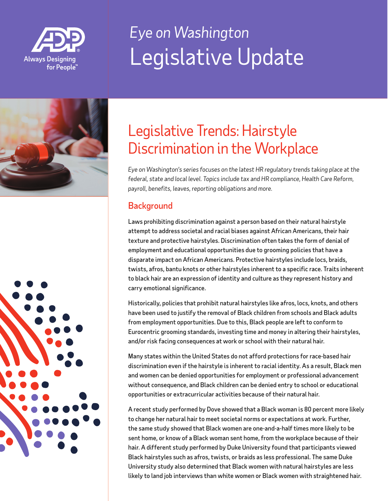

# *Eye on Washington* Legislative Update



### Legislative Trends: Hairstyle Discrimination in the Workplace

*Eye on Washington's series focuses on the latest HR regulatory trends taking place at the federal, state and local level. Topics include tax and HR compliance, Health Care Reform,*  payroll, benefits, leaves, reporting obligations and more.

### **Background**

Laws prohibiting discrimination against a person based on their natural hairstyle attempt to address societal and racial biases against African Americans, their hair texture and protective hairstyles. Discrimination often takes the form of denial of employment and educational opportunities due to grooming policies that have a disparate impact on African Americans. Protective hairstyles include locs, braids, twists, afros, bantu knots or other hairstyles inherent to a specific race. Traits inherent to black hair are an expression of identity and culture as they represent history and carry emotional significance.

Historically, policies that prohibit natural hairstyles like afros, locs, knots, and others have been used to justify the removal of Black children from schools and Black adults from employment opportunities. Due to this, Black people are left to conform to Eurocentric grooming standards, investing time and money in altering their hairstyles, and/or risk facing consequences at work or school with their natural hair.

Many states within the United States do not afford protections for race-based hair discrimination even if the hairstyle is inherent to racial identity. As a result, Black men and women can be denied opportunities for employment or professional advancement without consequence, and Black children can be denied entry to school or educational opportunities or extracurricular activities because of their natural hair.

A recent study performed by Dove showed that a Black woman is 80 percent more likely to change her natural hair to meet societal norms or expectations at work. Further, the same study showed that Black women are one-and-a-half times more likely to be sent home, or know of a Black woman sent home, from the workplace because of their hair. A different study performed by Duke University found that participants viewed Black hairstyles such as afros, twists, or braids as less professional. The same Duke University study also determined that Black women with natural hairstyles are less likely to land job interviews than white women or Black women with straightened hair.

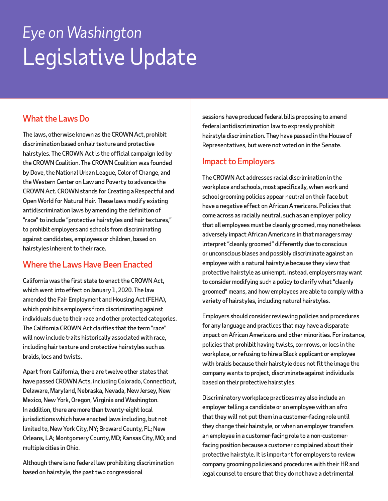# *Eye on Washington* Legislative Update

#### What the Laws Do

The laws, otherwise known as the CROWN Act, prohibit discrimination based on hair texture and protective hairstyles. The CROWN Act is the official campaign led by the CROWN Coalition. The CROWN Coalition was founded by Dove, the National Urban League, Color of Change, and the Western Center on Law and Poverty to advance the CROWN Act. CROWN stands for Creating a Respectful and Open World for Natural Hair. These laws modify existing antidiscrimination laws by amending the definition of "race" to include "protective hairstyles and hair textures," to prohibit employers and schools from discriminating against candidates, employees or children, based on hairstyles inherent to their race.

#### Where the Laws Have Been Enacted

California was the first state to enact the CROWN Act. which went into effect on January 1, 2020. The law amended the Fair Employment and Housing Act (FEHA), which prohibits employers from discriminating against individuals due to their race and other protected categories. The California CROWN Act clarifies that the term "race" will now include traits historically associated with race, including hair texture and protective hairstyles such as braids, locs and twists.

Apart from California, there are twelve other states that have passed CROWN Acts, including Colorado, Connecticut, Delaware, Maryland, Nebraska, Nevada, New Jersey, New Mexico, New York, Oregon, Virginia and Washington. In addition, there are more than twenty-eight local jurisdictions which have enacted laws including, but not limited to, New York City, NY; Broward County, FL; New Orleans, LA; Montgomery County, MD; Kansas City, MO; and multiple cities in Ohio.

Although there is no federal law prohibiting discrimination based on hairstyle, the past two congressional

sessions have produced federal bills proposing to amend federal antidiscrimination law to expressly prohibit hairstyle discrimination. They have passed in the House of Representatives, but were not voted on in the Senate.

#### Impact to Employers

The CROWN Act addresses racial discrimination in the workplace and schools, most specifically, when work and school grooming policies appear neutral on their face but have a negative effect on African Americans. Policies that come across as racially neutral, such as an employer policy that all employees must be cleanly groomed, may nonetheless adversely impact African Americans in that managers may interpret "cleanly groomed" differently due to conscious or unconscious biases and possibly discriminate against an employee with a natural hairstyle because they view that protective hairstyle as unkempt. Instead, employers may want to consider modifying such a policy to clarify what "cleanly groomed" means, and how employees are able to comply with a variety of hairstyles, including natural hairstyles.

Employers should consider reviewing policies and procedures for any language and practices that may have a disparate impact on African Americans and other minorities. For instance, policies that prohibit having twists, cornrows, or locs in the workplace, or refusing to hire a Black applicant or employee with braids because their hairstyle does not fit the image the company wants to project, discriminate against individuals based on their protective hairstyles.

Discriminatory workplace practices may also include an employer telling a candidate or an employee with an afro that they will not put them in a customer-facing role until they change their hairstyle, or when an employer transfers an employee in a customer-facing role to a non-customerfacing position because a customer complained about their protective hairstyle. It is important for employers to review company grooming policies and procedures with their HR and legal counsel to ensure that they do not have a detrimental